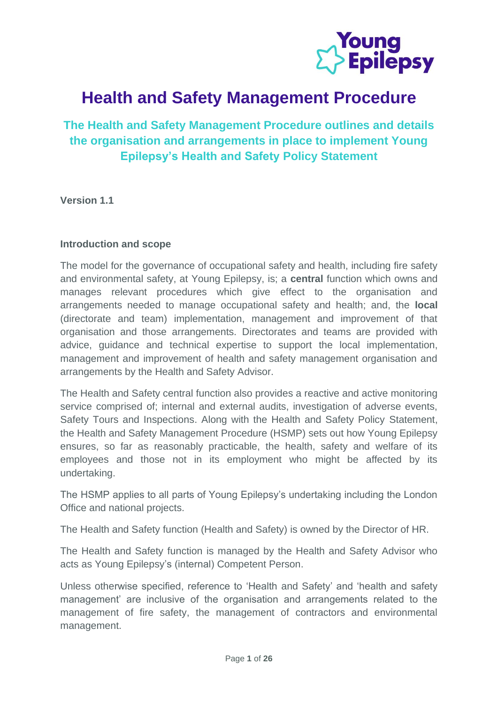

# **Health and Safety Management Procedure**

**The Health and Safety Management Procedure outlines and details the organisation and arrangements in place to implement Young Epilepsy's Health and Safety Policy Statement**

**Version 1.1**

#### **Introduction and scope**

The model for the governance of occupational safety and health, including fire safety and environmental safety, at Young Epilepsy, is; a **central** function which owns and manages relevant procedures which give effect to the organisation and arrangements needed to manage occupational safety and health; and, the **local** (directorate and team) implementation, management and improvement of that organisation and those arrangements. Directorates and teams are provided with advice, guidance and technical expertise to support the local implementation, management and improvement of health and safety management organisation and arrangements by the Health and Safety Advisor.

The Health and Safety central function also provides a reactive and active monitoring service comprised of; internal and external audits, investigation of adverse events, Safety Tours and Inspections. Along with the Health and Safety Policy Statement, the Health and Safety Management Procedure (HSMP) sets out how Young Epilepsy ensures, so far as reasonably practicable, the health, safety and welfare of its employees and those not in its employment who might be affected by its undertaking.

The HSMP applies to all parts of Young Epilepsy's undertaking including the London Office and national projects.

The Health and Safety function (Health and Safety) is owned by the Director of HR.

The Health and Safety function is managed by the Health and Safety Advisor who acts as Young Epilepsy's (internal) Competent Person.

Unless otherwise specified, reference to 'Health and Safety' and 'health and safety management' are inclusive of the organisation and arrangements related to the management of fire safety, the management of contractors and environmental management.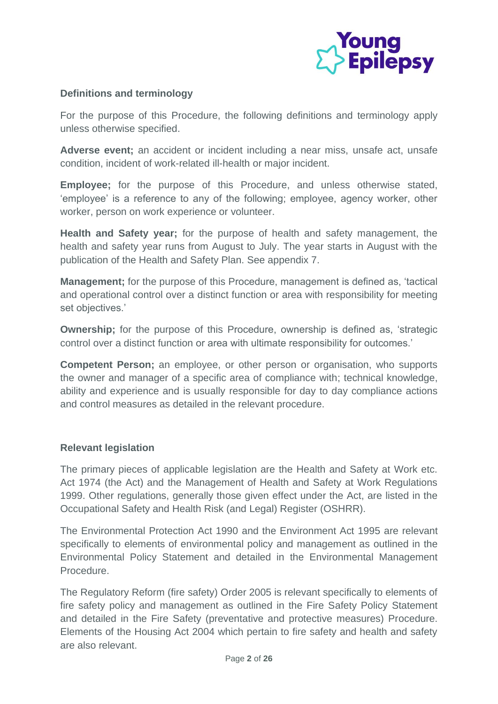

## **Definitions and terminology**

For the purpose of this Procedure, the following definitions and terminology apply unless otherwise specified.

**Adverse event;** an accident or incident including a near miss, unsafe act, unsafe condition, incident of work-related ill-health or major incident.

**Employee;** for the purpose of this Procedure, and unless otherwise stated, 'employee' is a reference to any of the following; employee, agency worker, other worker, person on work experience or volunteer.

**Health and Safety year;** for the purpose of health and safety management, the health and safety year runs from August to July. The year starts in August with the publication of the Health and Safety Plan. See appendix 7.

**Management;** for the purpose of this Procedure, management is defined as, 'tactical and operational control over a distinct function or area with responsibility for meeting set objectives.'

**Ownership;** for the purpose of this Procedure, ownership is defined as, 'strategic control over a distinct function or area with ultimate responsibility for outcomes.'

**Competent Person;** an employee, or other person or organisation, who supports the owner and manager of a specific area of compliance with; technical knowledge, ability and experience and is usually responsible for day to day compliance actions and control measures as detailed in the relevant procedure.

## **Relevant legislation**

The primary pieces of applicable legislation are the Health and Safety at Work etc. Act 1974 (the Act) and the Management of Health and Safety at Work Regulations 1999. Other regulations, generally those given effect under the Act, are listed in the Occupational Safety and Health Risk (and Legal) Register (OSHRR).

The Environmental Protection Act 1990 and the Environment Act 1995 are relevant specifically to elements of environmental policy and management as outlined in the Environmental Policy Statement and detailed in the Environmental Management Procedure.

The Regulatory Reform (fire safety) Order 2005 is relevant specifically to elements of fire safety policy and management as outlined in the Fire Safety Policy Statement and detailed in the Fire Safety (preventative and protective measures) Procedure. Elements of the Housing Act 2004 which pertain to fire safety and health and safety are also relevant.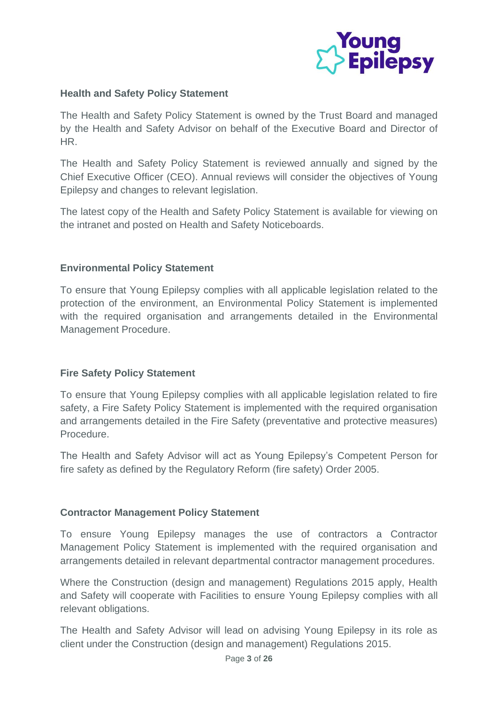

## **Health and Safety Policy Statement**

The Health and Safety Policy Statement is owned by the Trust Board and managed by the Health and Safety Advisor on behalf of the Executive Board and Director of HR.

The Health and Safety Policy Statement is reviewed annually and signed by the Chief Executive Officer (CEO). Annual reviews will consider the objectives of Young Epilepsy and changes to relevant legislation.

The latest copy of the Health and Safety Policy Statement is available for viewing on the intranet and posted on Health and Safety Noticeboards.

#### **Environmental Policy Statement**

To ensure that Young Epilepsy complies with all applicable legislation related to the protection of the environment, an Environmental Policy Statement is implemented with the required organisation and arrangements detailed in the Environmental Management Procedure.

## **Fire Safety Policy Statement**

To ensure that Young Epilepsy complies with all applicable legislation related to fire safety, a Fire Safety Policy Statement is implemented with the required organisation and arrangements detailed in the Fire Safety (preventative and protective measures) Procedure.

The Health and Safety Advisor will act as Young Epilepsy's Competent Person for fire safety as defined by the Regulatory Reform (fire safety) Order 2005.

## **Contractor Management Policy Statement**

To ensure Young Epilepsy manages the use of contractors a Contractor Management Policy Statement is implemented with the required organisation and arrangements detailed in relevant departmental contractor management procedures.

Where the Construction (design and management) Regulations 2015 apply, Health and Safety will cooperate with Facilities to ensure Young Epilepsy complies with all relevant obligations.

The Health and Safety Advisor will lead on advising Young Epilepsy in its role as client under the Construction (design and management) Regulations 2015.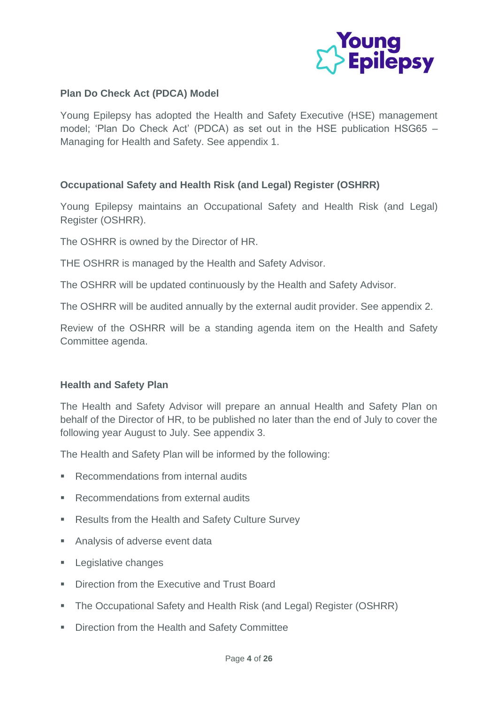

## **Plan Do Check Act (PDCA) Model**

Young Epilepsy has adopted the Health and Safety Executive (HSE) management model; 'Plan Do Check Act' (PDCA) as set out in the HSE publication HSG65 – Managing for Health and Safety. See appendix 1.

## **Occupational Safety and Health Risk (and Legal) Register (OSHRR)**

Young Epilepsy maintains an Occupational Safety and Health Risk (and Legal) Register (OSHRR).

The OSHRR is owned by the Director of HR.

THE OSHRR is managed by the Health and Safety Advisor.

The OSHRR will be updated continuously by the Health and Safety Advisor.

The OSHRR will be audited annually by the external audit provider. See appendix 2.

Review of the OSHRR will be a standing agenda item on the Health and Safety Committee agenda.

## **Health and Safety Plan**

The Health and Safety Advisor will prepare an annual Health and Safety Plan on behalf of the Director of HR, to be published no later than the end of July to cover the following year August to July. See appendix 3.

The Health and Safety Plan will be informed by the following:

- Recommendations from internal audits
- Recommendations from external audits
- Results from the Health and Safety Culture Survey
- Analysis of adverse event data
- Legislative changes
- **Direction from the Executive and Trust Board**
- The Occupational Safety and Health Risk (and Legal) Register (OSHRR)
- Direction from the Health and Safety Committee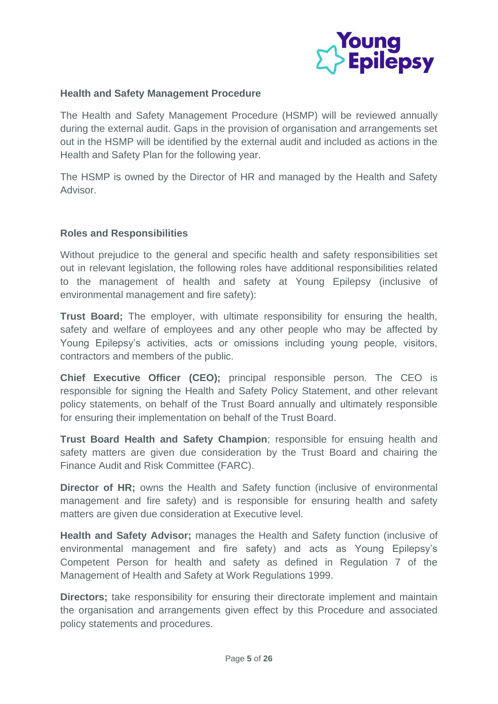

#### **Health and Safety Management Procedure**

The Health and Safety Management Procedure (HSMP) will be reviewed annually during the external audit. Gaps in the provision of organisation and arrangements set out in the HSMP will be identified by the external audit and included as actions in the Health and Safety Plan for the following year.

The HSMP is owned by the Director of HR and managed by the Health and Safety Advisor.

#### **Roles and Responsibilities**

Without prejudice to the general and specific health and safety responsibilities set out in relevant legislation, the following roles have additional responsibilities related to the management of health and safety at Young Epilepsy (inclusive of environmental management and fire safety):

**Trust Board;** The employer, with ultimate responsibility for ensuring the health, safety and welfare of employees and any other people who may be affected by Young Epilepsy's activities, acts or omissions including young people, visitors, contractors and members of the public.

**Chief Executive Officer (CEO);** principal responsible person. The CEO is responsible for signing the Health and Safety Policy Statement, and other relevant policy statements, on behalf of the Trust Board annually and ultimately responsible for ensuring their implementation on behalf of the Trust Board.

**Trust Board Health and Safety Champion**; responsible for ensuing health and safety matters are given due consideration by the Trust Board and chairing the Finance Audit and Risk Committee (FARC).

**Director of HR;** owns the Health and Safety function (inclusive of environmental management and fire safety) and is responsible for ensuring health and safety matters are given due consideration at Executive level.

**Health and Safety Advisor;** manages the Health and Safety function (inclusive of environmental management and fire safety) and acts as Young Epilepsy's Competent Person for health and safety as defined in Regulation 7 of the Management of Health and Safety at Work Regulations 1999.

**Directors**; take responsibility for ensuring their directorate implement and maintain the organisation and arrangements given effect by this Procedure and associated policy statements and procedures.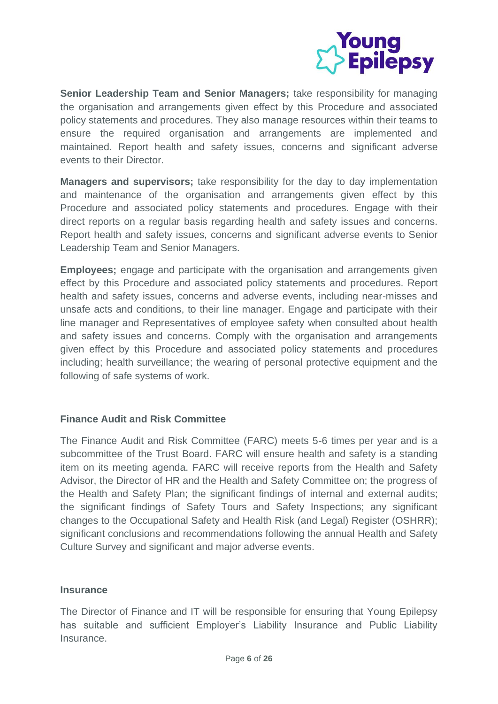

**Senior Leadership Team and Senior Managers;** take responsibility for managing the organisation and arrangements given effect by this Procedure and associated policy statements and procedures. They also manage resources within their teams to ensure the required organisation and arrangements are implemented and maintained. Report health and safety issues, concerns and significant adverse events to their Director.

**Managers and supervisors;** take responsibility for the day to day implementation and maintenance of the organisation and arrangements given effect by this Procedure and associated policy statements and procedures. Engage with their direct reports on a regular basis regarding health and safety issues and concerns. Report health and safety issues, concerns and significant adverse events to Senior Leadership Team and Senior Managers.

**Employees;** engage and participate with the organisation and arrangements given effect by this Procedure and associated policy statements and procedures. Report health and safety issues, concerns and adverse events, including near-misses and unsafe acts and conditions, to their line manager. Engage and participate with their line manager and Representatives of employee safety when consulted about health and safety issues and concerns. Comply with the organisation and arrangements given effect by this Procedure and associated policy statements and procedures including; health surveillance; the wearing of personal protective equipment and the following of safe systems of work.

## **Finance Audit and Risk Committee**

The Finance Audit and Risk Committee (FARC) meets 5-6 times per year and is a subcommittee of the Trust Board. FARC will ensure health and safety is a standing item on its meeting agenda. FARC will receive reports from the Health and Safety Advisor, the Director of HR and the Health and Safety Committee on; the progress of the Health and Safety Plan; the significant findings of internal and external audits; the significant findings of Safety Tours and Safety Inspections; any significant changes to the Occupational Safety and Health Risk (and Legal) Register (OSHRR); significant conclusions and recommendations following the annual Health and Safety Culture Survey and significant and major adverse events.

## **Insurance**

The Director of Finance and IT will be responsible for ensuring that Young Epilepsy has suitable and sufficient Employer's Liability Insurance and Public Liability Insurance.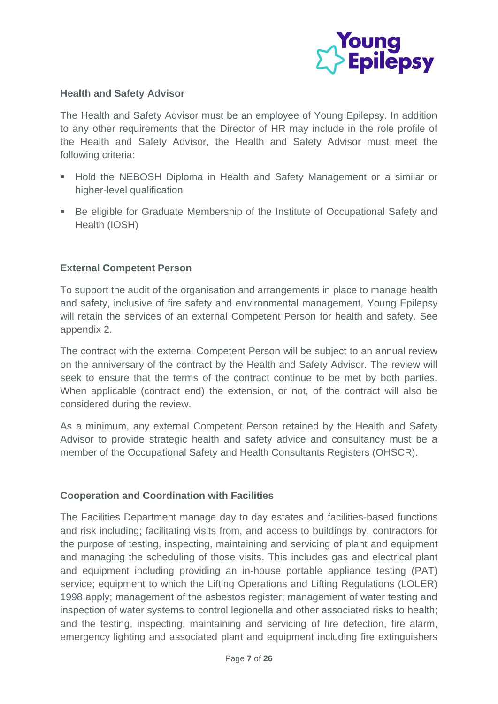

#### **Health and Safety Advisor**

The Health and Safety Advisor must be an employee of Young Epilepsy. In addition to any other requirements that the Director of HR may include in the role profile of the Health and Safety Advisor, the Health and Safety Advisor must meet the following criteria:

- Hold the NEBOSH Diploma in Health and Safety Management or a similar or higher-level qualification
- Be eligible for Graduate Membership of the Institute of Occupational Safety and Health (IOSH)

## **External Competent Person**

To support the audit of the organisation and arrangements in place to manage health and safety, inclusive of fire safety and environmental management, Young Epilepsy will retain the services of an external Competent Person for health and safety. See appendix 2.

The contract with the external Competent Person will be subject to an annual review on the anniversary of the contract by the Health and Safety Advisor. The review will seek to ensure that the terms of the contract continue to be met by both parties. When applicable (contract end) the extension, or not, of the contract will also be considered during the review.

As a minimum, any external Competent Person retained by the Health and Safety Advisor to provide strategic health and safety advice and consultancy must be a member of the Occupational Safety and Health Consultants Registers (OHSCR).

#### **Cooperation and Coordination with Facilities**

The Facilities Department manage day to day estates and facilities-based functions and risk including; facilitating visits from, and access to buildings by, contractors for the purpose of testing, inspecting, maintaining and servicing of plant and equipment and managing the scheduling of those visits. This includes gas and electrical plant and equipment including providing an in-house portable appliance testing (PAT) service; equipment to which the Lifting Operations and Lifting Regulations (LOLER) 1998 apply; management of the asbestos register; management of water testing and inspection of water systems to control legionella and other associated risks to health; and the testing, inspecting, maintaining and servicing of fire detection, fire alarm, emergency lighting and associated plant and equipment including fire extinguishers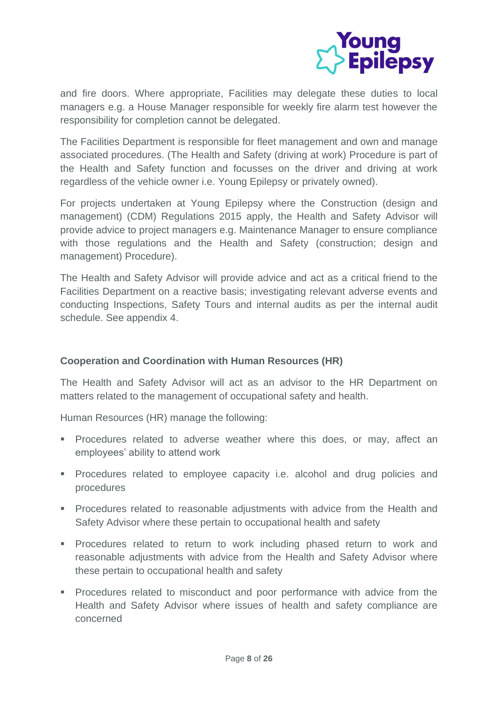

and fire doors. Where appropriate, Facilities may delegate these duties to local managers e.g. a House Manager responsible for weekly fire alarm test however the responsibility for completion cannot be delegated.

The Facilities Department is responsible for fleet management and own and manage associated procedures. (The Health and Safety (driving at work) Procedure is part of the Health and Safety function and focusses on the driver and driving at work regardless of the vehicle owner i.e. Young Epilepsy or privately owned).

For projects undertaken at Young Epilepsy where the Construction (design and management) (CDM) Regulations 2015 apply, the Health and Safety Advisor will provide advice to project managers e.g. Maintenance Manager to ensure compliance with those regulations and the Health and Safety (construction; design and management) Procedure).

The Health and Safety Advisor will provide advice and act as a critical friend to the Facilities Department on a reactive basis; investigating relevant adverse events and conducting Inspections, Safety Tours and internal audits as per the internal audit schedule. See appendix 4.

## **Cooperation and Coordination with Human Resources (HR)**

The Health and Safety Advisor will act as an advisor to the HR Department on matters related to the management of occupational safety and health.

Human Resources (HR) manage the following:

- **•** Procedures related to adverse weather where this does, or may, affect an employees' ability to attend work
- **•** Procedures related to employee capacity i.e. alcohol and drug policies and procedures
- **•** Procedures related to reasonable adjustments with advice from the Health and Safety Advisor where these pertain to occupational health and safety
- **•** Procedures related to return to work including phased return to work and reasonable adjustments with advice from the Health and Safety Advisor where these pertain to occupational health and safety
- **•** Procedures related to misconduct and poor performance with advice from the Health and Safety Advisor where issues of health and safety compliance are concerned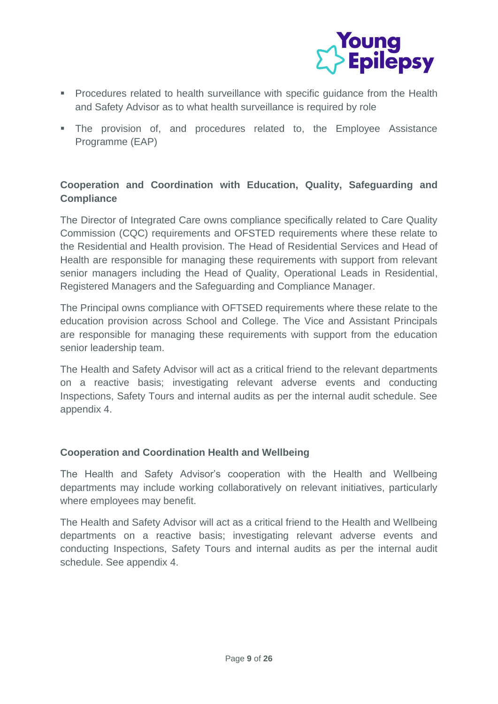

- Procedures related to health surveillance with specific guidance from the Health and Safety Advisor as to what health surveillance is required by role
- **EXTE:** The provision of, and procedures related to, the Employee Assistance Programme (EAP)

## **Cooperation and Coordination with Education, Quality, Safeguarding and Compliance**

The Director of Integrated Care owns compliance specifically related to Care Quality Commission (CQC) requirements and OFSTED requirements where these relate to the Residential and Health provision. The Head of Residential Services and Head of Health are responsible for managing these requirements with support from relevant senior managers including the Head of Quality, Operational Leads in Residential, Registered Managers and the Safeguarding and Compliance Manager.

The Principal owns compliance with OFTSED requirements where these relate to the education provision across School and College. The Vice and Assistant Principals are responsible for managing these requirements with support from the education senior leadership team.

The Health and Safety Advisor will act as a critical friend to the relevant departments on a reactive basis; investigating relevant adverse events and conducting Inspections, Safety Tours and internal audits as per the internal audit schedule. See appendix 4.

## **Cooperation and Coordination Health and Wellbeing**

The Health and Safety Advisor's cooperation with the Health and Wellbeing departments may include working collaboratively on relevant initiatives, particularly where employees may benefit.

The Health and Safety Advisor will act as a critical friend to the Health and Wellbeing departments on a reactive basis; investigating relevant adverse events and conducting Inspections, Safety Tours and internal audits as per the internal audit schedule. See appendix 4.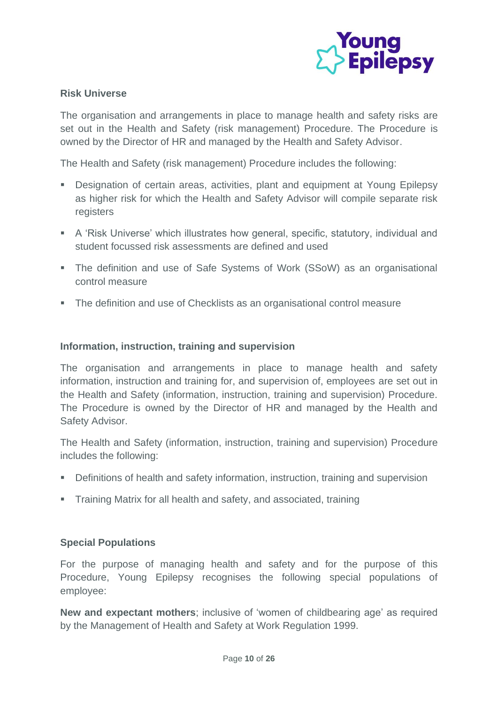

## **Risk Universe**

The organisation and arrangements in place to manage health and safety risks are set out in the Health and Safety (risk management) Procedure. The Procedure is owned by the Director of HR and managed by the Health and Safety Advisor.

The Health and Safety (risk management) Procedure includes the following:

- Designation of certain areas, activities, plant and equipment at Young Epilepsy as higher risk for which the Health and Safety Advisor will compile separate risk registers
- A 'Risk Universe' which illustrates how general, specific, statutory, individual and student focussed risk assessments are defined and used
- The definition and use of Safe Systems of Work (SSoW) as an organisational control measure
- The definition and use of Checklists as an organisational control measure

## **Information, instruction, training and supervision**

The organisation and arrangements in place to manage health and safety information, instruction and training for, and supervision of, employees are set out in the Health and Safety (information, instruction, training and supervision) Procedure. The Procedure is owned by the Director of HR and managed by the Health and Safety Advisor.

The Health and Safety (information, instruction, training and supervision) Procedure includes the following:

- Definitions of health and safety information, instruction, training and supervision
- Training Matrix for all health and safety, and associated, training

## **Special Populations**

For the purpose of managing health and safety and for the purpose of this Procedure, Young Epilepsy recognises the following special populations of employee:

**New and expectant mothers**; inclusive of 'women of childbearing age' as required by the Management of Health and Safety at Work Regulation 1999.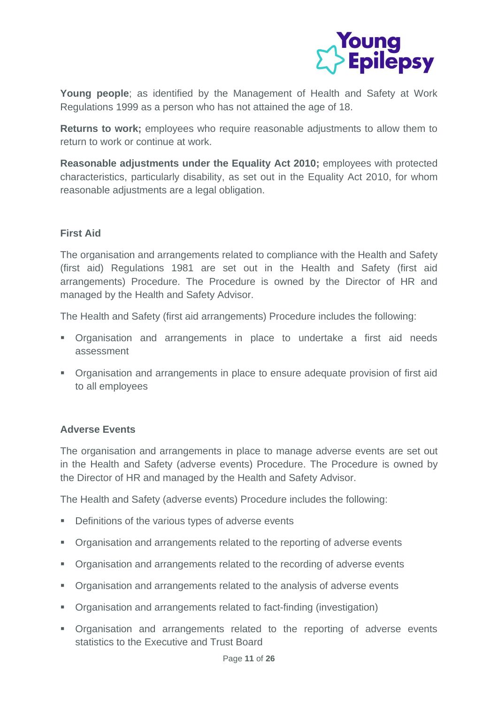

**Young people**; as identified by the Management of Health and Safety at Work Regulations 1999 as a person who has not attained the age of 18.

**Returns to work;** employees who require reasonable adjustments to allow them to return to work or continue at work.

**Reasonable adjustments under the Equality Act 2010;** employees with protected characteristics, particularly disability, as set out in the Equality Act 2010, for whom reasonable adjustments are a legal obligation.

## **First Aid**

The organisation and arrangements related to compliance with the Health and Safety (first aid) Regulations 1981 are set out in the Health and Safety (first aid arrangements) Procedure. The Procedure is owned by the Director of HR and managed by the Health and Safety Advisor.

The Health and Safety (first aid arrangements) Procedure includes the following:

- **•** Organisation and arrangements in place to undertake a first aid needs assessment
- Organisation and arrangements in place to ensure adequate provision of first aid to all employees

## **Adverse Events**

The organisation and arrangements in place to manage adverse events are set out in the Health and Safety (adverse events) Procedure. The Procedure is owned by the Director of HR and managed by the Health and Safety Advisor.

The Health and Safety (adverse events) Procedure includes the following:

- Definitions of the various types of adverse events
- Organisation and arrangements related to the reporting of adverse events
- Organisation and arrangements related to the recording of adverse events
- Organisation and arrangements related to the analysis of adverse events
- Organisation and arrangements related to fact-finding (investigation)
- **•** Organisation and arrangements related to the reporting of adverse events statistics to the Executive and Trust Board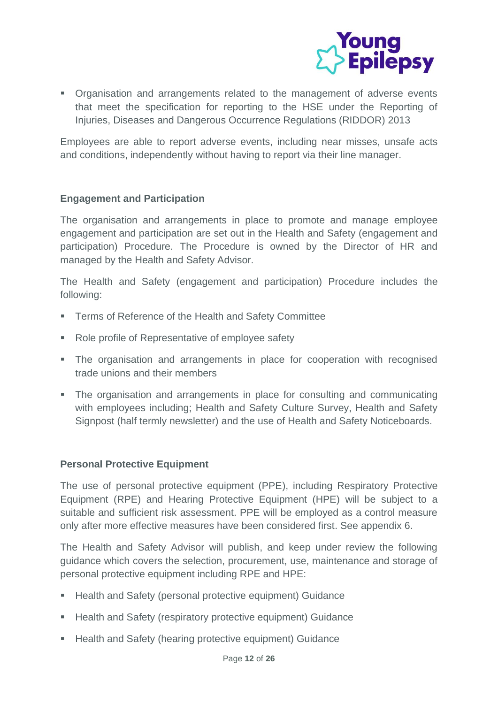

▪ Organisation and arrangements related to the management of adverse events that meet the specification for reporting to the HSE under the Reporting of Injuries, Diseases and Dangerous Occurrence Regulations (RIDDOR) 2013

Employees are able to report adverse events, including near misses, unsafe acts and conditions, independently without having to report via their line manager.

## **Engagement and Participation**

The organisation and arrangements in place to promote and manage employee engagement and participation are set out in the Health and Safety (engagement and participation) Procedure. The Procedure is owned by the Director of HR and managed by the Health and Safety Advisor.

The Health and Safety (engagement and participation) Procedure includes the following:

- **EXECT** Terms of Reference of the Health and Safety Committee
- Role profile of Representative of employee safety
- **•** The organisation and arrangements in place for cooperation with recognised trade unions and their members
- **•** The organisation and arrangements in place for consulting and communicating with employees including; Health and Safety Culture Survey, Health and Safety Signpost (half termly newsletter) and the use of Health and Safety Noticeboards.

## **Personal Protective Equipment**

The use of personal protective equipment (PPE), including Respiratory Protective Equipment (RPE) and Hearing Protective Equipment (HPE) will be subject to a suitable and sufficient risk assessment. PPE will be employed as a control measure only after more effective measures have been considered first. See appendix 6.

The Health and Safety Advisor will publish, and keep under review the following guidance which covers the selection, procurement, use, maintenance and storage of personal protective equipment including RPE and HPE:

- Health and Safety (personal protective equipment) Guidance
- Health and Safety (respiratory protective equipment) Guidance
- Health and Safety (hearing protective equipment) Guidance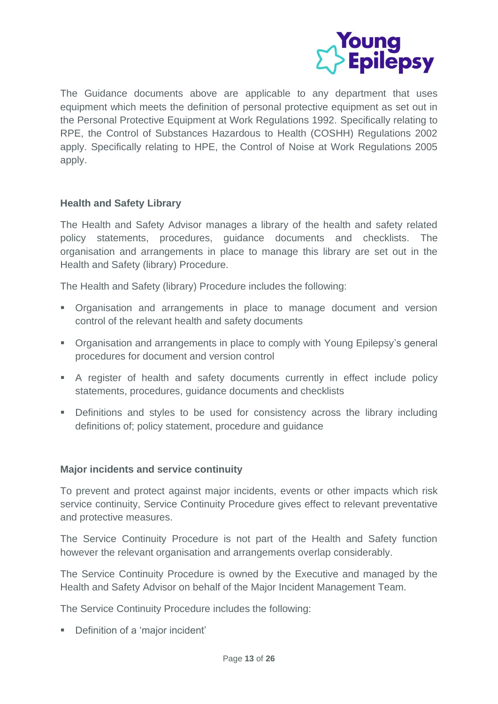

The Guidance documents above are applicable to any department that uses equipment which meets the definition of personal protective equipment as set out in the Personal Protective Equipment at Work Regulations 1992. Specifically relating to RPE, the Control of Substances Hazardous to Health (COSHH) Regulations 2002 apply. Specifically relating to HPE, the Control of Noise at Work Regulations 2005 apply.

## **Health and Safety Library**

The Health and Safety Advisor manages a library of the health and safety related policy statements, procedures, guidance documents and checklists. The organisation and arrangements in place to manage this library are set out in the Health and Safety (library) Procedure.

The Health and Safety (library) Procedure includes the following:

- **•** Organisation and arrangements in place to manage document and version control of the relevant health and safety documents
- Organisation and arrangements in place to comply with Young Epilepsy's general procedures for document and version control
- A register of health and safety documents currently in effect include policy statements, procedures, guidance documents and checklists
- Definitions and styles to be used for consistency across the library including definitions of; policy statement, procedure and guidance

## **Major incidents and service continuity**

To prevent and protect against major incidents, events or other impacts which risk service continuity, Service Continuity Procedure gives effect to relevant preventative and protective measures.

The Service Continuity Procedure is not part of the Health and Safety function however the relevant organisation and arrangements overlap considerably.

The Service Continuity Procedure is owned by the Executive and managed by the Health and Safety Advisor on behalf of the Major Incident Management Team.

The Service Continuity Procedure includes the following:

■ Definition of a 'major incident'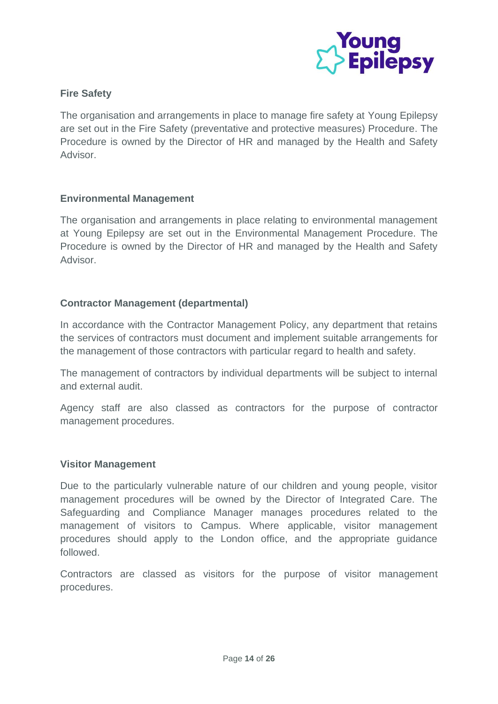

## **Fire Safety**

The organisation and arrangements in place to manage fire safety at Young Epilepsy are set out in the Fire Safety (preventative and protective measures) Procedure. The Procedure is owned by the Director of HR and managed by the Health and Safety Advisor.

## **Environmental Management**

The organisation and arrangements in place relating to environmental management at Young Epilepsy are set out in the Environmental Management Procedure. The Procedure is owned by the Director of HR and managed by the Health and Safety Advisor.

## **Contractor Management (departmental)**

In accordance with the Contractor Management Policy, any department that retains the services of contractors must document and implement suitable arrangements for the management of those contractors with particular regard to health and safety.

The management of contractors by individual departments will be subject to internal and external audit.

Agency staff are also classed as contractors for the purpose of contractor management procedures.

#### **Visitor Management**

Due to the particularly vulnerable nature of our children and young people, visitor management procedures will be owned by the Director of Integrated Care. The Safeguarding and Compliance Manager manages procedures related to the management of visitors to Campus. Where applicable, visitor management procedures should apply to the London office, and the appropriate guidance followed.

Contractors are classed as visitors for the purpose of visitor management procedures.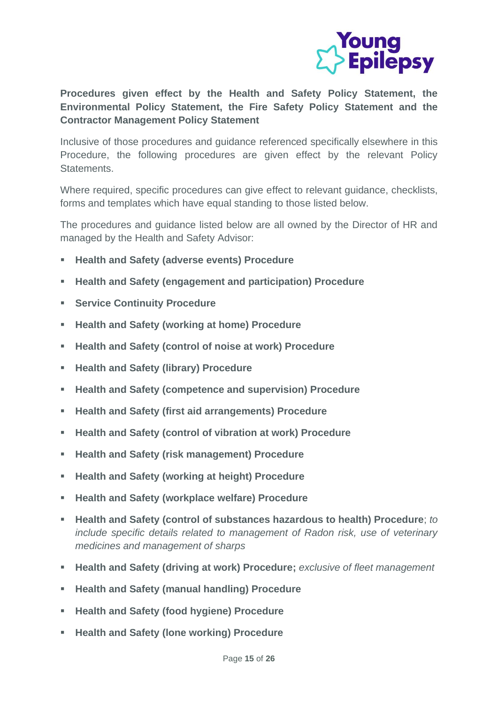

**Procedures given effect by the Health and Safety Policy Statement, the Environmental Policy Statement, the Fire Safety Policy Statement and the Contractor Management Policy Statement**

Inclusive of those procedures and guidance referenced specifically elsewhere in this Procedure, the following procedures are given effect by the relevant Policy Statements.

Where required, specific procedures can give effect to relevant guidance, checklists, forms and templates which have equal standing to those listed below.

The procedures and guidance listed below are all owned by the Director of HR and managed by the Health and Safety Advisor:

- **Health and Safety (adverse events) Procedure**
- **Health and Safety (engagement and participation) Procedure**
- **Service Continuity Procedure**
- **Health and Safety (working at home) Procedure**
- **Health and Safety (control of noise at work) Procedure**
- **Health and Safety (library) Procedure**
- **Health and Safety (competence and supervision) Procedure**
- **Health and Safety (first aid arrangements) Procedure**
- **Health and Safety (control of vibration at work) Procedure**
- **Health and Safety (risk management) Procedure**
- **Health and Safety (working at height) Procedure**
- **Health and Safety (workplace welfare) Procedure**
- **Health and Safety (control of substances hazardous to health) Procedure**; *to include specific details related to management of Radon risk, use of veterinary medicines and management of sharps*
- **Health and Safety (driving at work) Procedure;** *exclusive of fleet management*
- **Health and Safety (manual handling) Procedure**
- **Health and Safety (food hygiene) Procedure**
- **Health and Safety (lone working) Procedure**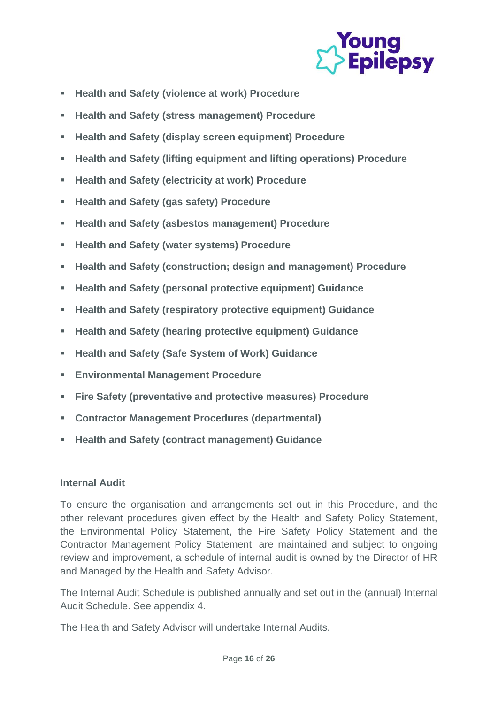

- **Health and Safety (violence at work) Procedure**
- **Health and Safety (stress management) Procedure**
- **Health and Safety (display screen equipment) Procedure**
- **Health and Safety (lifting equipment and lifting operations) Procedure**
- **Health and Safety (electricity at work) Procedure**
- **Health and Safety (gas safety) Procedure**
- **Health and Safety (asbestos management) Procedure**
- **Health and Safety (water systems) Procedure**
- **Health and Safety (construction; design and management) Procedure**
- **Health and Safety (personal protective equipment) Guidance**
- **Health and Safety (respiratory protective equipment) Guidance**
- **Health and Safety (hearing protective equipment) Guidance**
- **Health and Safety (Safe System of Work) Guidance**
- **Environmental Management Procedure**
- **Fire Safety (preventative and protective measures) Procedure**
- **Contractor Management Procedures (departmental)**
- **Health and Safety (contract management) Guidance**

## **Internal Audit**

To ensure the organisation and arrangements set out in this Procedure, and the other relevant procedures given effect by the Health and Safety Policy Statement, the Environmental Policy Statement, the Fire Safety Policy Statement and the Contractor Management Policy Statement, are maintained and subject to ongoing review and improvement, a schedule of internal audit is owned by the Director of HR and Managed by the Health and Safety Advisor.

The Internal Audit Schedule is published annually and set out in the (annual) Internal Audit Schedule. See appendix 4.

The Health and Safety Advisor will undertake Internal Audits.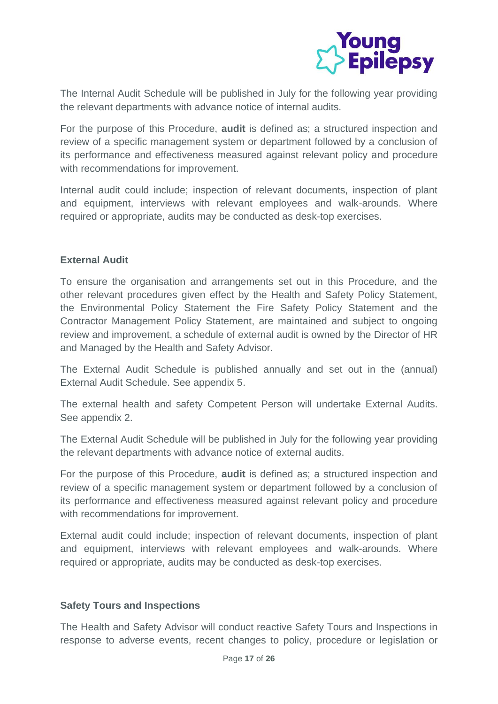

The Internal Audit Schedule will be published in July for the following year providing the relevant departments with advance notice of internal audits.

For the purpose of this Procedure, **audit** is defined as; a structured inspection and review of a specific management system or department followed by a conclusion of its performance and effectiveness measured against relevant policy and procedure with recommendations for improvement.

Internal audit could include; inspection of relevant documents, inspection of plant and equipment, interviews with relevant employees and walk-arounds. Where required or appropriate, audits may be conducted as desk-top exercises.

## **External Audit**

To ensure the organisation and arrangements set out in this Procedure, and the other relevant procedures given effect by the Health and Safety Policy Statement, the Environmental Policy Statement the Fire Safety Policy Statement and the Contractor Management Policy Statement, are maintained and subject to ongoing review and improvement, a schedule of external audit is owned by the Director of HR and Managed by the Health and Safety Advisor.

The External Audit Schedule is published annually and set out in the (annual) External Audit Schedule. See appendix 5.

The external health and safety Competent Person will undertake External Audits. See appendix 2.

The External Audit Schedule will be published in July for the following year providing the relevant departments with advance notice of external audits.

For the purpose of this Procedure, **audit** is defined as; a structured inspection and review of a specific management system or department followed by a conclusion of its performance and effectiveness measured against relevant policy and procedure with recommendations for improvement.

External audit could include; inspection of relevant documents, inspection of plant and equipment, interviews with relevant employees and walk-arounds. Where required or appropriate, audits may be conducted as desk-top exercises.

## **Safety Tours and Inspections**

The Health and Safety Advisor will conduct reactive Safety Tours and Inspections in response to adverse events, recent changes to policy, procedure or legislation or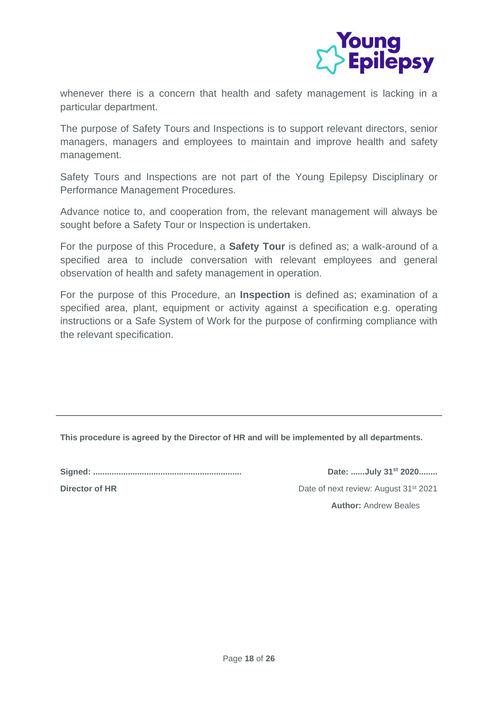

whenever there is a concern that health and safety management is lacking in a particular department.

The purpose of Safety Tours and Inspections is to support relevant directors, senior managers, managers and employees to maintain and improve health and safety management.

Safety Tours and Inspections are not part of the Young Epilepsy Disciplinary or Performance Management Procedures.

Advance notice to, and cooperation from, the relevant management will always be sought before a Safety Tour or Inspection is undertaken.

For the purpose of this Procedure, a **Safety Tour** is defined as; a walk-around of a specified area to include conversation with relevant employees and general observation of health and safety management in operation.

For the purpose of this Procedure, an **Inspection** is defined as; examination of a specified area, plant, equipment or activity against a specification e.g. operating instructions or a Safe System of Work for the purpose of confirming compliance with the relevant specification.

**This procedure is agreed by the Director of HR and will be implemented by all departments.**

**Signed: ................................................................ Date: ......July 31st 2020........**

**Director of HR** Date of next review: August 31<sup>st</sup> 2021 **Author:** Andrew Beales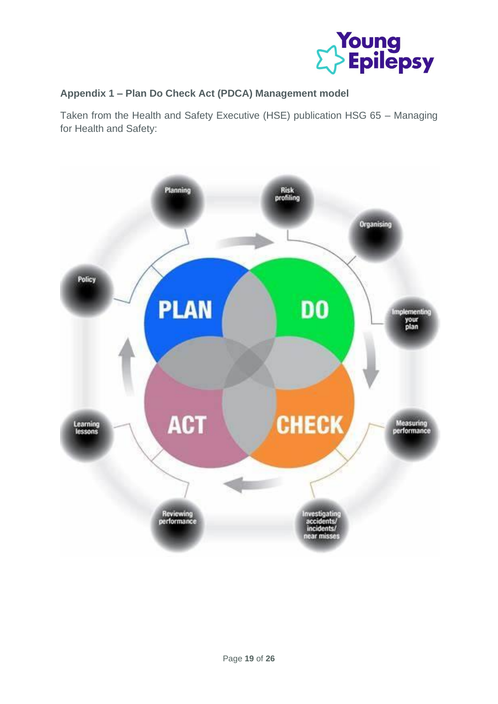

## **Appendix 1 – Plan Do Check Act (PDCA) Management model**

Taken from the Health and Safety Executive (HSE) publication HSG 65 – Managing for Health and Safety:

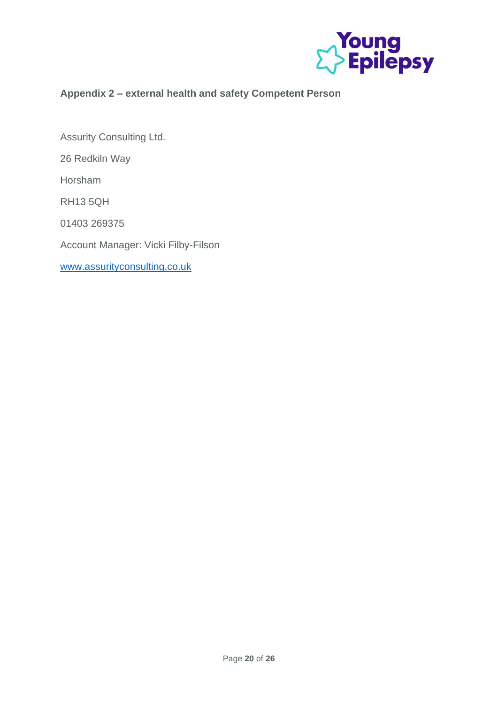

# **Appendix 2 – external health and safety Competent Person**

Assurity Consulting Ltd. 26 Redkiln Way Horsham RH13 5QH 01403 269375 Account Manager: Vicki Filby-Filson [www.assurityconsulting.co.uk](http://www.assurityconsulting.co.uk/)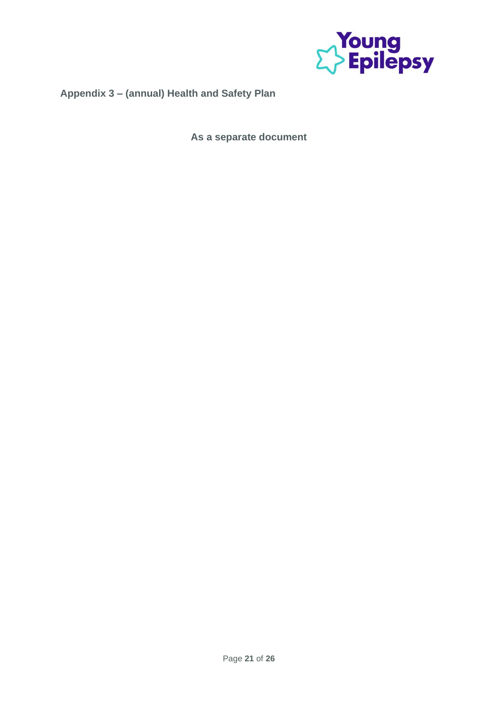

# **Appendix 3 – (annual) Health and Safety Plan**

**As a separate document**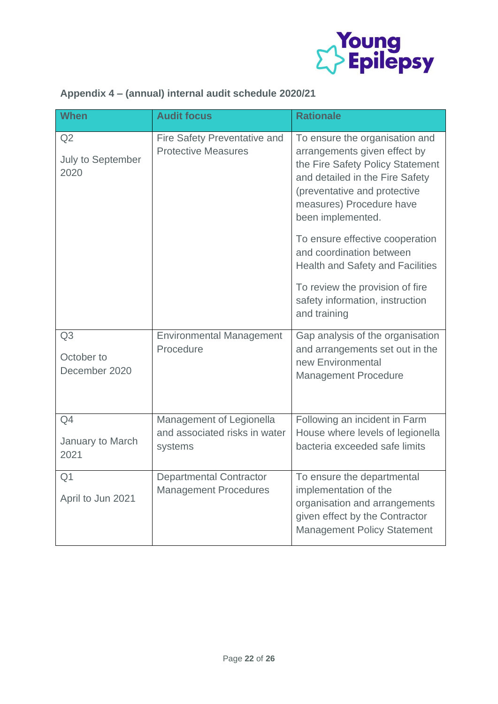

# **Appendix 4 – (annual) internal audit schedule 2020/21**

| <b>When</b>                         | <b>Audit focus</b>                                                   | <b>Rationale</b>                                                                                                                                                                                                       |
|-------------------------------------|----------------------------------------------------------------------|------------------------------------------------------------------------------------------------------------------------------------------------------------------------------------------------------------------------|
| Q2<br>July to September<br>2020     | Fire Safety Preventative and<br><b>Protective Measures</b>           | To ensure the organisation and<br>arrangements given effect by<br>the Fire Safety Policy Statement<br>and detailed in the Fire Safety<br>(preventative and protective<br>measures) Procedure have<br>been implemented. |
|                                     |                                                                      | To ensure effective cooperation<br>and coordination between<br><b>Health and Safety and Facilities</b>                                                                                                                 |
|                                     |                                                                      | To review the provision of fire<br>safety information, instruction<br>and training                                                                                                                                     |
| Q3<br>October to<br>December 2020   | <b>Environmental Management</b><br>Procedure                         | Gap analysis of the organisation<br>and arrangements set out in the<br>new Environmental<br><b>Management Procedure</b>                                                                                                |
| Q4<br>January to March<br>2021      | Management of Legionella<br>and associated risks in water<br>systems | Following an incident in Farm<br>House where levels of legionella<br>bacteria exceeded safe limits                                                                                                                     |
| Q <sub>1</sub><br>April to Jun 2021 | <b>Departmental Contractor</b><br><b>Management Procedures</b>       | To ensure the departmental<br>implementation of the<br>organisation and arrangements<br>given effect by the Contractor<br><b>Management Policy Statement</b>                                                           |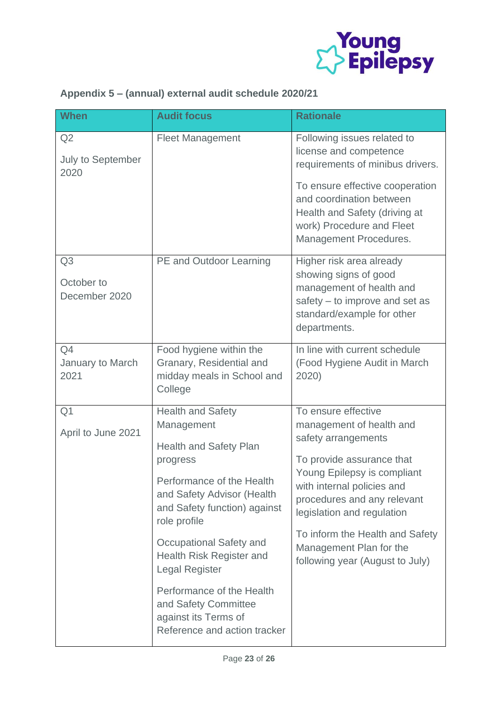

|  |  | Appendix 5 - (annual) external audit schedule 2020/21 |
|--|--|-------------------------------------------------------|
|--|--|-------------------------------------------------------|

| <b>When</b>                                   | <b>Audit focus</b>                                                                                                                                                                                                                                                                                                                                                                          | <b>Rationale</b>                                                                                                                                                                                                                                                                                                               |
|-----------------------------------------------|---------------------------------------------------------------------------------------------------------------------------------------------------------------------------------------------------------------------------------------------------------------------------------------------------------------------------------------------------------------------------------------------|--------------------------------------------------------------------------------------------------------------------------------------------------------------------------------------------------------------------------------------------------------------------------------------------------------------------------------|
| Q2<br>July to September<br>2020               | <b>Fleet Management</b>                                                                                                                                                                                                                                                                                                                                                                     | Following issues related to<br>license and competence<br>requirements of minibus drivers.<br>To ensure effective cooperation<br>and coordination between                                                                                                                                                                       |
|                                               |                                                                                                                                                                                                                                                                                                                                                                                             | Health and Safety (driving at<br>work) Procedure and Fleet<br>Management Procedures.                                                                                                                                                                                                                                           |
| Q <sub>3</sub><br>October to<br>December 2020 | PE and Outdoor Learning                                                                                                                                                                                                                                                                                                                                                                     | Higher risk area already<br>showing signs of good<br>management of health and<br>safety – to improve and set as<br>standard/example for other<br>departments.                                                                                                                                                                  |
| Q4<br>January to March<br>2021                | Food hygiene within the<br>Granary, Residential and<br>midday meals in School and<br>College                                                                                                                                                                                                                                                                                                | In line with current schedule<br>(Food Hygiene Audit in March<br>2020)                                                                                                                                                                                                                                                         |
| Q <sub>1</sub><br>April to June 2021          | <b>Health and Safety</b><br>Management<br><b>Health and Safety Plan</b><br>progress<br>Performance of the Health<br>and Safety Advisor (Health<br>and Safety function) against<br>role profile<br>Occupational Safety and<br>Health Risk Register and<br><b>Legal Register</b><br>Performance of the Health<br>and Safety Committee<br>against its Terms of<br>Reference and action tracker | To ensure effective<br>management of health and<br>safety arrangements<br>To provide assurance that<br>Young Epilepsy is compliant<br>with internal policies and<br>procedures and any relevant<br>legislation and regulation<br>To inform the Health and Safety<br>Management Plan for the<br>following year (August to July) |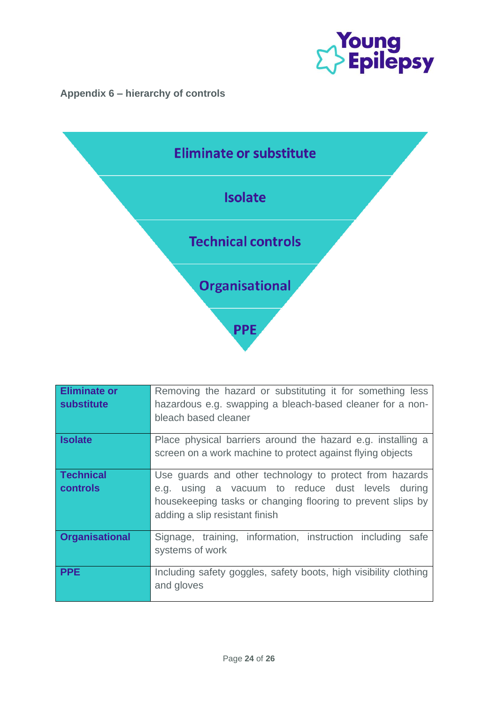

# **Appendix 6 – hierarchy of controls**



| <b>Eliminate or</b><br><b>substitute</b> | Removing the hazard or substituting it for something less<br>hazardous e.g. swapping a bleach-based cleaner for a non-<br>bleach based cleaner                                                               |
|------------------------------------------|--------------------------------------------------------------------------------------------------------------------------------------------------------------------------------------------------------------|
| <b>Isolate</b>                           | Place physical barriers around the hazard e.g. installing a<br>screen on a work machine to protect against flying objects                                                                                    |
| <b>Technical</b><br><b>controls</b>      | Use quards and other technology to protect from hazards<br>e.g. using a vacuum to reduce dust levels during<br>housekeeping tasks or changing flooring to prevent slips by<br>adding a slip resistant finish |
| <b>Organisational</b>                    | Signage, training, information, instruction including<br>safe<br>systems of work                                                                                                                             |
| <b>PPE</b>                               | Including safety goggles, safety boots, high visibility clothing<br>and gloves                                                                                                                               |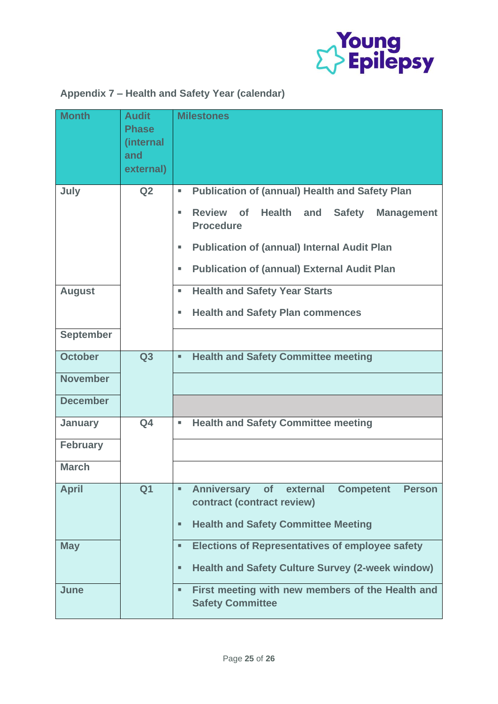

# **Appendix 7 – Health and Safety Year (calendar)**

| <b>Month</b>                                 | <b>Audit</b><br><b>Phase</b><br>(internal<br>and<br>external) | <b>Milestones</b>                                                                                            |
|----------------------------------------------|---------------------------------------------------------------|--------------------------------------------------------------------------------------------------------------|
| July                                         | Q <sub>2</sub>                                                | <b>Publication of (annual) Health and Safety Plan</b><br>٠                                                   |
|                                              |                                                               | Review of<br><b>Health</b><br><b>Safety</b><br>and<br><b>Management</b><br>٠<br><b>Procedure</b>             |
|                                              |                                                               | <b>Publication of (annual) Internal Audit Plan</b><br>٠                                                      |
|                                              |                                                               | <b>Publication of (annual) External Audit Plan</b><br>ш                                                      |
| <b>August</b>                                |                                                               | <b>Health and Safety Year Starts</b><br>٠                                                                    |
|                                              |                                                               | <b>Health and Safety Plan commences</b><br>٠                                                                 |
| <b>September</b>                             |                                                               |                                                                                                              |
| <b>October</b>                               | Q3                                                            | <b>Health and Safety Committee meeting</b><br>u,                                                             |
| <b>November</b>                              |                                                               |                                                                                                              |
| <b>December</b>                              |                                                               |                                                                                                              |
| <b>January</b>                               | Q <sub>4</sub>                                                | <b>Health and Safety Committee meeting</b><br>×,                                                             |
| <b>February</b>                              |                                                               |                                                                                                              |
| <b>March</b>                                 |                                                               |                                                                                                              |
| <b>April</b><br>Q <sub>1</sub><br><b>May</b> |                                                               | <b>Anniversary</b><br>external<br><b>Competent</b><br><b>Person</b><br>of<br>٠<br>contract (contract review) |
|                                              |                                                               | <b>Health and Safety Committee Meeting</b><br>٠                                                              |
|                                              |                                                               | <b>Elections of Representatives of employee safety</b><br>٠                                                  |
|                                              |                                                               | <b>Health and Safety Culture Survey (2-week window)</b><br>٠                                                 |
| June                                         |                                                               | First meeting with new members of the Health and<br>$\blacksquare$<br><b>Safety Committee</b>                |